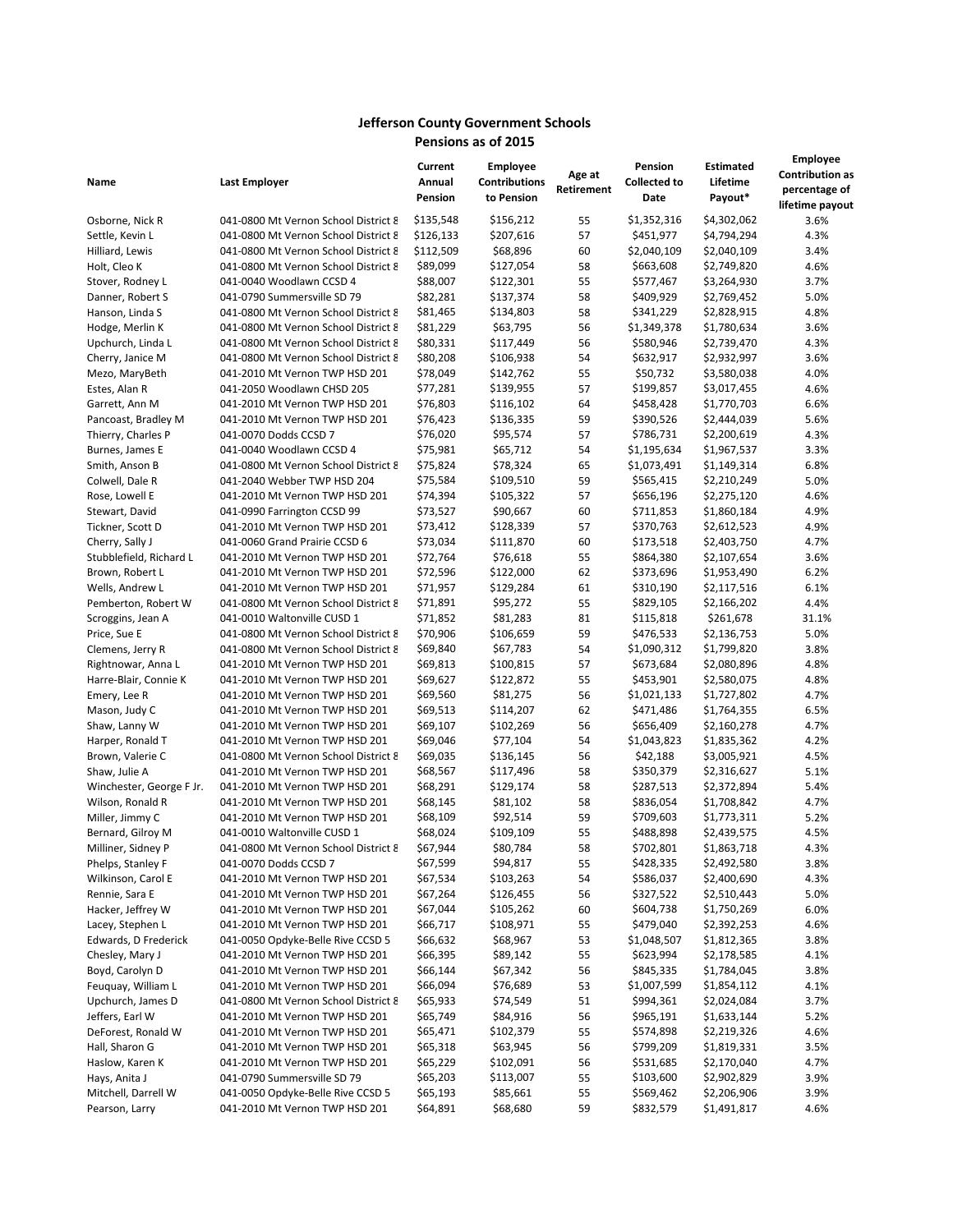## **Jefferson County Government Schools**

**Pensions as of 2015**

| Name                     | Last Employer                        | Current<br>Annual<br>Pension | <b>Employee</b><br><b>Contributions</b><br>to Pension | Age at<br>Retirement | Pension<br><b>Collected to</b><br>Date | <b>Estimated</b><br>Lifetime<br>Payout* | <b>Employee</b><br><b>Contribution as</b><br>percentage of<br>lifetime payout |
|--------------------------|--------------------------------------|------------------------------|-------------------------------------------------------|----------------------|----------------------------------------|-----------------------------------------|-------------------------------------------------------------------------------|
| Osborne, Nick R          | 041-0800 Mt Vernon School District 8 | \$135,548                    | \$156,212                                             | 55                   | \$1,352,316                            | \$4,302,062                             | 3.6%                                                                          |
| Settle, Kevin L          | 041-0800 Mt Vernon School District 8 | \$126,133                    | \$207,616                                             | 57                   | \$451,977                              | \$4,794,294                             | 4.3%                                                                          |
| Hilliard, Lewis          | 041-0800 Mt Vernon School District 8 | \$112,509                    | \$68,896                                              | 60                   | \$2,040,109                            | \$2,040,109                             | 3.4%                                                                          |
| Holt, Cleo K             | 041-0800 Mt Vernon School District 8 | \$89,099                     | \$127,054                                             | 58                   | \$663,608                              | \$2,749,820                             | 4.6%                                                                          |
| Stover, Rodney L         | 041-0040 Woodlawn CCSD 4             | \$88,007                     | \$122,301                                             | 55                   | \$577,467                              | \$3,264,930                             | 3.7%                                                                          |
| Danner, Robert S         | 041-0790 Summersville SD 79          | \$82,281                     | \$137,374                                             | 58                   | \$409,929                              | \$2,769,452                             | 5.0%                                                                          |
| Hanson, Linda S          | 041-0800 Mt Vernon School District 8 | \$81,465                     | \$134,803                                             | 58                   | \$341,229                              | \$2,828,915                             | 4.8%                                                                          |
| Hodge, Merlin K          | 041-0800 Mt Vernon School District 8 | \$81,229                     | \$63,795                                              | 56                   | \$1,349,378                            | \$1,780,634                             | 3.6%                                                                          |
| Upchurch, Linda L        | 041-0800 Mt Vernon School District 8 | \$80,331                     | \$117,449                                             | 56                   | \$580,946                              | \$2,739,470                             | 4.3%                                                                          |
| Cherry, Janice M         | 041-0800 Mt Vernon School District 8 | \$80,208                     | \$106,938                                             | 54                   | \$632,917                              | \$2,932,997                             | 3.6%                                                                          |
| Mezo, MaryBeth           | 041-2010 Mt Vernon TWP HSD 201       | \$78,049                     | \$142,762                                             | 55                   | \$50,732                               | \$3,580,038                             | 4.0%                                                                          |
| Estes, Alan R            | 041-2050 Woodlawn CHSD 205           | \$77,281                     | \$139,955                                             | 57                   | \$199,857                              | \$3,017,455                             | 4.6%                                                                          |
| Garrett, Ann M           | 041-2010 Mt Vernon TWP HSD 201       | \$76,803                     | \$116,102                                             | 64                   | \$458,428                              | \$1,770,703                             | 6.6%                                                                          |
| Pancoast, Bradley M      | 041-2010 Mt Vernon TWP HSD 201       | \$76,423                     | \$136,335                                             | 59                   | \$390,526                              | \$2,444,039                             | 5.6%                                                                          |
| Thierry, Charles P       | 041-0070 Dodds CCSD 7                | \$76,020                     | \$95,574                                              | 57                   | \$786,731                              | \$2,200,619                             | 4.3%                                                                          |
|                          | 041-0040 Woodlawn CCSD 4             | \$75,981                     | \$65,712                                              | 54                   | \$1,195,634                            | \$1,967,537                             | 3.3%                                                                          |
| Burnes, James E          |                                      |                              |                                                       |                      |                                        |                                         |                                                                               |
| Smith, Anson B           | 041-0800 Mt Vernon School District 8 | \$75,824                     | \$78,324                                              | 65                   | \$1,073,491                            | \$1,149,314                             | 6.8%                                                                          |
| Colwell, Dale R          | 041-2040 Webber TWP HSD 204          | \$75,584                     | \$109,510                                             | 59                   | \$565,415                              | \$2,210,249                             | 5.0%                                                                          |
| Rose, Lowell E           | 041-2010 Mt Vernon TWP HSD 201       | \$74,394                     | \$105,322                                             | 57                   | \$656,196                              | \$2,275,120                             | 4.6%                                                                          |
| Stewart, David           | 041-0990 Farrington CCSD 99          | \$73,527                     | \$90,667                                              | 60                   | \$711,853                              | \$1,860,184                             | 4.9%                                                                          |
| Tickner, Scott D         | 041-2010 Mt Vernon TWP HSD 201       | \$73,412                     | \$128,339                                             | 57                   | \$370,763                              | \$2,612,523                             | 4.9%                                                                          |
| Cherry, Sally J          | 041-0060 Grand Prairie CCSD 6        | \$73,034                     | \$111,870                                             | 60                   | \$173,518                              | \$2,403,750                             | 4.7%                                                                          |
| Stubblefield, Richard L  | 041-2010 Mt Vernon TWP HSD 201       | \$72,764                     | \$76,618                                              | 55                   | \$864,380                              | \$2,107,654                             | 3.6%                                                                          |
| Brown, Robert L          | 041-2010 Mt Vernon TWP HSD 201       | \$72,596                     | \$122,000                                             | 62                   | \$373,696                              | \$1,953,490                             | 6.2%                                                                          |
| Wells, Andrew L          | 041-2010 Mt Vernon TWP HSD 201       | \$71,957                     | \$129,284                                             | 61                   | \$310,190                              | \$2,117,516                             | 6.1%                                                                          |
| Pemberton, Robert W      | 041-0800 Mt Vernon School District 8 | \$71,891                     | \$95,272                                              | 55                   | \$829,105                              | \$2,166,202                             | 4.4%                                                                          |
| Scroggins, Jean A        | 041-0010 Waltonville CUSD 1          | \$71,852                     | \$81,283                                              | 81                   | \$115,818                              | \$261,678                               | 31.1%                                                                         |
| Price, Sue E             | 041-0800 Mt Vernon School District 8 | \$70,906                     | \$106,659                                             | 59                   | \$476,533                              | \$2,136,753                             | 5.0%                                                                          |
| Clemens, Jerry R         | 041-0800 Mt Vernon School District 8 | \$69,840                     | \$67,783                                              | 54                   | \$1,090,312                            | \$1,799,820                             | 3.8%                                                                          |
| Rightnowar, Anna L       | 041-2010 Mt Vernon TWP HSD 201       | \$69,813                     | \$100,815                                             | 57                   | \$673,684                              | \$2,080,896                             | 4.8%                                                                          |
| Harre-Blair, Connie K    | 041-2010 Mt Vernon TWP HSD 201       | \$69,627                     | \$122,872                                             | 55                   | \$453,901                              | \$2,580,075                             | 4.8%                                                                          |
| Emery, Lee R             | 041-2010 Mt Vernon TWP HSD 201       | \$69,560                     | \$81,275                                              | 56                   | \$1,021,133                            | \$1,727,802                             | 4.7%                                                                          |
| Mason, Judy C            | 041-2010 Mt Vernon TWP HSD 201       | \$69,513                     | \$114,207                                             | 62                   | \$471,486                              | \$1,764,355                             | 6.5%                                                                          |
| Shaw, Lanny W            | 041-2010 Mt Vernon TWP HSD 201       | \$69,107                     | \$102,269                                             | 56                   | \$656,409                              | \$2,160,278                             | 4.7%                                                                          |
| Harper, Ronald T         | 041-2010 Mt Vernon TWP HSD 201       | \$69,046                     | \$77,104                                              | 54                   | \$1,043,823                            | \$1,835,362                             | 4.2%                                                                          |
| Brown, Valerie C         | 041-0800 Mt Vernon School District 8 | \$69,035                     | \$136,145                                             | 56                   | \$42,188                               | \$3,005,921                             | 4.5%                                                                          |
| Shaw, Julie A            | 041-2010 Mt Vernon TWP HSD 201       | \$68,567                     | \$117,496                                             | 58                   | \$350,379                              | \$2,316,627                             | 5.1%                                                                          |
| Winchester, George F Jr. | 041-2010 Mt Vernon TWP HSD 201       | \$68,291                     | \$129,174                                             | 58                   | \$287,513                              | \$2,372,894                             | 5.4%                                                                          |
| Wilson, Ronald R         | 041-2010 Mt Vernon TWP HSD 201       | \$68,145                     | \$81,102                                              | 58                   | \$836,054                              | \$1,708,842                             | 4.7%                                                                          |
| Miller, Jimmy C          | 041-2010 Mt Vernon TWP HSD 201       | \$68,109                     | \$92,514                                              | 59                   | \$709,603                              | \$1,773,311                             | 5.2%                                                                          |
| Bernard, Gilroy M        | 041-0010 Waltonville CUSD 1          | \$68,024                     | \$109,109                                             | 55                   | \$488,898                              | \$2,439,575                             | 4.5%                                                                          |
| Milliner, Sidney P       | 041-0800 Mt Vernon School District 8 | \$67,944                     | \$80,784                                              | 58                   | \$702,801                              | \$1,863,718                             | 4.3%                                                                          |
| Phelps, Stanley F        | 041-0070 Dodds CCSD 7                | \$67,599                     | \$94,817                                              | 55                   | \$428,335                              | \$2,492,580                             | 3.8%                                                                          |
| Wilkinson, Carol E       | 041-2010 Mt Vernon TWP HSD 201       | \$67,534                     | \$103,263                                             | 54                   | \$586,037                              | \$2,400,690                             | 4.3%                                                                          |
| Rennie, Sara E           | 041-2010 Mt Vernon TWP HSD 201       | \$67,264                     | \$126,455                                             | 56                   | \$327,522                              | \$2,510,443                             | 5.0%                                                                          |
| Hacker, Jeffrey W        | 041-2010 Mt Vernon TWP HSD 201       | \$67,044                     | \$105,262                                             | 60                   | \$604,738                              | \$1,750,269                             | 6.0%                                                                          |
| Lacey, Stephen L         | 041-2010 Mt Vernon TWP HSD 201       | \$66,717                     | \$108,971                                             | 55                   | \$479,040                              | \$2,392,253                             | 4.6%                                                                          |
| Edwards, D Frederick     | 041-0050 Opdyke-Belle Rive CCSD 5    | \$66,632                     | \$68,967                                              | 53                   | \$1,048,507                            | \$1,812,365                             | 3.8%                                                                          |
| Chesley, Mary J          | 041-2010 Mt Vernon TWP HSD 201       | \$66,395                     | \$89,142                                              | 55                   | \$623,994                              | \$2,178,585                             | 4.1%                                                                          |
| Boyd, Carolyn D          | 041-2010 Mt Vernon TWP HSD 201       | \$66,144                     | \$67,342                                              | 56                   | \$845,335                              | \$1,784,045                             | 3.8%                                                                          |
| Feuquay, William L       | 041-2010 Mt Vernon TWP HSD 201       | \$66,094                     | \$76,689                                              | 53                   | \$1,007,599                            | \$1,854,112                             | 4.1%                                                                          |
| Upchurch, James D        | 041-0800 Mt Vernon School District 8 | \$65,933                     | \$74,549                                              | 51                   | \$994,361                              | \$2,024,084                             | 3.7%                                                                          |
| Jeffers, Earl W          | 041-2010 Mt Vernon TWP HSD 201       | \$65,749                     | \$84,916                                              | 56                   | \$965,191                              | \$1,633,144                             | 5.2%                                                                          |
| DeForest, Ronald W       | 041-2010 Mt Vernon TWP HSD 201       | \$65,471                     | \$102,379                                             | 55                   | \$574,898                              | \$2,219,326                             | 4.6%                                                                          |
| Hall, Sharon G           | 041-2010 Mt Vernon TWP HSD 201       | \$65,318                     | \$63,945                                              | 56                   | \$799,209                              | \$1,819,331                             | 3.5%                                                                          |
| Haslow, Karen K          | 041-2010 Mt Vernon TWP HSD 201       | \$65,229                     | \$102,091                                             | 56                   | \$531,685                              | \$2,170,040                             | 4.7%                                                                          |
| Hays, Anita J            | 041-0790 Summersville SD 79          | \$65,203                     | \$113,007                                             | 55                   | \$103,600                              | \$2,902,829                             | 3.9%                                                                          |
| Mitchell, Darrell W      | 041-0050 Opdyke-Belle Rive CCSD 5    | \$65,193                     | \$85,661                                              | 55                   | \$569,462                              | \$2,206,906                             | 3.9%                                                                          |
| Pearson, Larry           | 041-2010 Mt Vernon TWP HSD 201       | \$64,891                     | \$68,680                                              | 59                   | \$832,579                              | \$1,491,817                             | 4.6%                                                                          |
|                          |                                      |                              |                                                       |                      |                                        |                                         |                                                                               |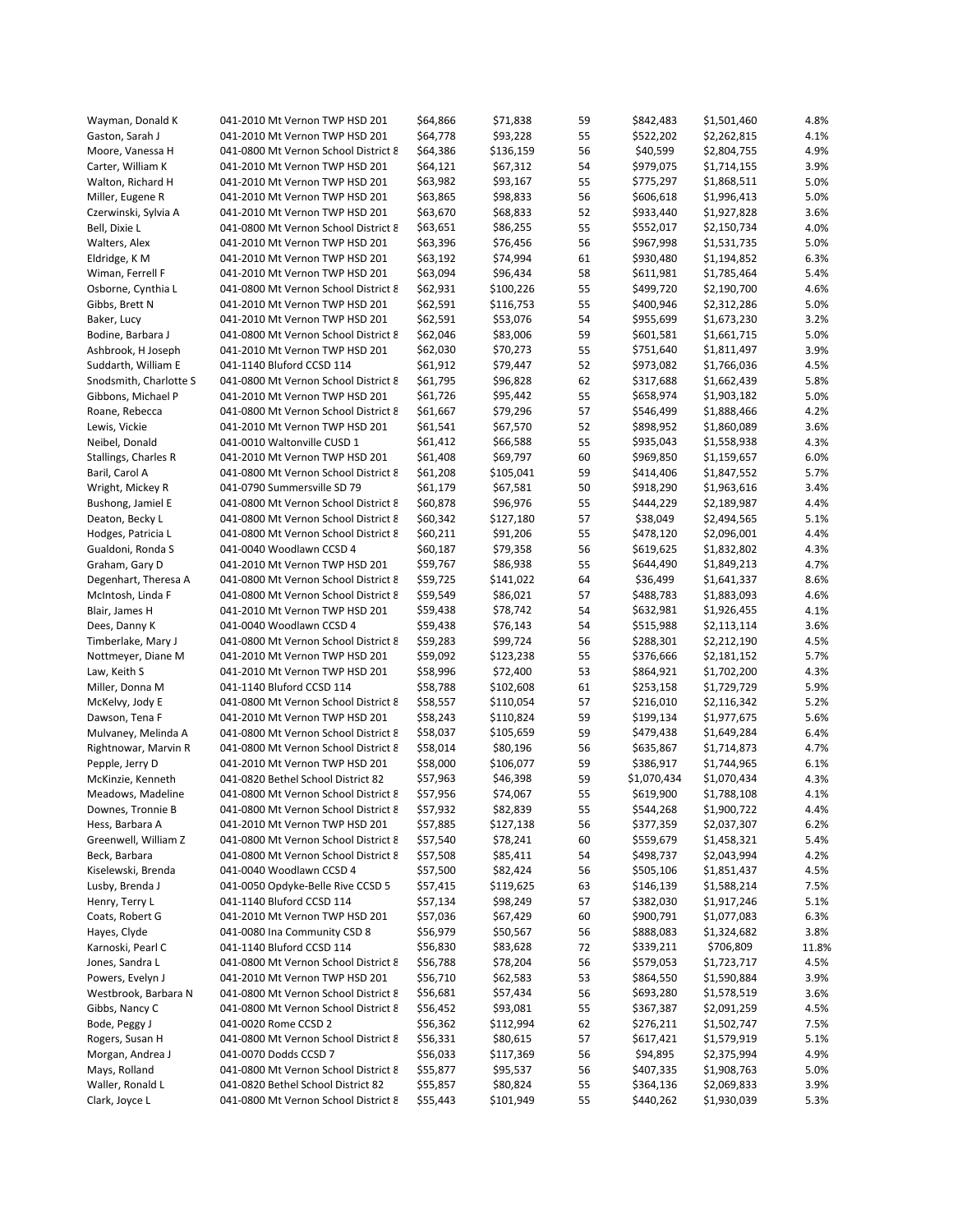| Wayman, Donald K                         | 041-2010 Mt Vernon TWP HSD 201                                         | \$64,866             | \$71,838             | 59       | \$842,483              | \$1,501,460                | 4.8%         |
|------------------------------------------|------------------------------------------------------------------------|----------------------|----------------------|----------|------------------------|----------------------------|--------------|
| Gaston, Sarah J                          | 041-2010 Mt Vernon TWP HSD 201                                         | \$64,778             | \$93,228             | 55       | \$522,202              | \$2,262,815                | 4.1%         |
| Moore, Vanessa H                         | 041-0800 Mt Vernon School District 8                                   | \$64,386             | \$136,159            | 56       | \$40,599               | \$2,804,755                | 4.9%         |
| Carter, William K                        | 041-2010 Mt Vernon TWP HSD 201                                         | \$64,121             | \$67,312             | 54       | \$979,075              | \$1,714,155                | 3.9%         |
| Walton, Richard H                        | 041-2010 Mt Vernon TWP HSD 201                                         | \$63,982             | \$93,167             | 55       | \$775,297              | \$1,868,511                | 5.0%         |
| Miller, Eugene R                         | 041-2010 Mt Vernon TWP HSD 201                                         | \$63,865             | \$98,833             | 56       | \$606,618              | \$1,996,413                | 5.0%         |
| Czerwinski, Sylvia A                     | 041-2010 Mt Vernon TWP HSD 201                                         | \$63,670             | \$68,833             | 52       | \$933,440              | \$1,927,828                | 3.6%         |
| Bell, Dixie L                            | 041-0800 Mt Vernon School District 8                                   | \$63,651             | \$86,255             | 55       | \$552,017              | \$2,150,734                | 4.0%         |
| Walters, Alex                            | 041-2010 Mt Vernon TWP HSD 201                                         | \$63,396             | \$76,456             | 56       | \$967,998              | \$1,531,735                | 5.0%         |
| Eldridge, KM                             | 041-2010 Mt Vernon TWP HSD 201                                         | \$63,192             | \$74,994             | 61       | \$930,480              | \$1,194,852                | 6.3%         |
| Wiman, Ferrell F                         | 041-2010 Mt Vernon TWP HSD 201                                         | \$63,094             | \$96,434             | 58       | \$611,981              | \$1,785,464                | 5.4%         |
| Osborne, Cynthia L                       | 041-0800 Mt Vernon School District 8                                   | \$62,931             | \$100,226            | 55       | \$499,720              | \$2,190,700                | 4.6%         |
| Gibbs, Brett N                           | 041-2010 Mt Vernon TWP HSD 201                                         | \$62,591             | \$116,753            | 55       | \$400,946              | \$2,312,286                | 5.0%         |
| Baker, Lucy                              | 041-2010 Mt Vernon TWP HSD 201                                         | \$62,591             | \$53,076             | 54       | \$955,699              | \$1,673,230                | 3.2%         |
| Bodine, Barbara J                        | 041-0800 Mt Vernon School District 8                                   | \$62,046             | \$83,006             | 59       | \$601,581              | \$1,661,715                | 5.0%         |
| Ashbrook, H Joseph                       | 041-2010 Mt Vernon TWP HSD 201                                         | \$62,030             | \$70,273             | 55       | \$751,640              | \$1,811,497                | 3.9%         |
| Suddarth, William E                      | 041-1140 Bluford CCSD 114                                              | \$61,912             | \$79,447             | 52       | \$973,082              | \$1,766,036                | 4.5%         |
| Snodsmith, Charlotte S                   | 041-0800 Mt Vernon School District 8                                   | \$61,795             | \$96,828             | 62       | \$317,688              | \$1,662,439                | 5.8%         |
| Gibbons, Michael P                       | 041-2010 Mt Vernon TWP HSD 201                                         | \$61,726             | \$95,442             | 55       | \$658,974              | \$1,903,182                | 5.0%         |
| Roane, Rebecca                           | 041-0800 Mt Vernon School District 8                                   | \$61,667             | \$79,296             | 57       | \$546,499              | \$1,888,466                | 4.2%         |
| Lewis, Vickie                            | 041-2010 Mt Vernon TWP HSD 201                                         | \$61,541             | \$67,570             | 52       | \$898,952              | \$1,860,089                | 3.6%         |
| Neibel, Donald                           | 041-0010 Waltonville CUSD 1                                            | \$61,412             | \$66,588             | 55       | \$935,043              | \$1,558,938                | 4.3%         |
| Stallings, Charles R                     | 041-2010 Mt Vernon TWP HSD 201                                         | \$61,408             | \$69,797             | 60       | \$969,850              | \$1,159,657                | 6.0%         |
| Baril, Carol A                           | 041-0800 Mt Vernon School District 8                                   | \$61,208             | \$105,041            | 59       | \$414,406              | \$1,847,552                | 5.7%         |
| Wright, Mickey R                         | 041-0790 Summersville SD 79                                            | \$61,179             | \$67,581             | 50       | \$918,290              | \$1,963,616                | 3.4%         |
| Bushong, Jamiel E                        | 041-0800 Mt Vernon School District 8                                   | \$60,878             | \$96,976             | 55       | \$444,229              | \$2,189,987                | 4.4%         |
| Deaton, Becky L                          | 041-0800 Mt Vernon School District 8                                   | \$60,342             | \$127,180            | 57       | \$38,049               | \$2,494,565                | 5.1%         |
| Hodges, Patricia L                       | 041-0800 Mt Vernon School District 8                                   | \$60,211             | \$91,206             | 55       | \$478,120              | \$2,096,001                | 4.4%         |
| Gualdoni, Ronda S                        | 041-0040 Woodlawn CCSD 4                                               | \$60,187             | \$79,358             | 56       | \$619,625              | \$1,832,802                | 4.3%         |
| Graham, Gary D                           | 041-2010 Mt Vernon TWP HSD 201                                         | \$59,767             | \$86,938             | 55       | \$644,490              | \$1,849,213                | 4.7%         |
| Degenhart, Theresa A                     | 041-0800 Mt Vernon School District 8                                   | \$59,725             | \$141,022            | 64       | \$36,499               | \$1,641,337                | 8.6%         |
| McIntosh, Linda F                        | 041-0800 Mt Vernon School District 8                                   | \$59,549             | \$86,021             | 57       | \$488,783              | \$1,883,093                | 4.6%         |
| Blair, James H                           | 041-2010 Mt Vernon TWP HSD 201                                         | \$59,438             | \$78,742             | 54       | \$632,981              | \$1,926,455                | 4.1%<br>3.6% |
| Dees, Danny K                            | 041-0040 Woodlawn CCSD 4                                               | \$59,438<br>\$59,283 | \$76,143<br>\$99,724 | 54       | \$515,988<br>\$288,301 | \$2,113,114                | 4.5%         |
| Timberlake, Mary J<br>Nottmeyer, Diane M | 041-0800 Mt Vernon School District 8<br>041-2010 Mt Vernon TWP HSD 201 |                      | \$123,238            | 56<br>55 | \$376,666              | \$2,212,190                | 5.7%         |
| Law, Keith S                             | 041-2010 Mt Vernon TWP HSD 201                                         | \$59,092<br>\$58,996 | \$72,400             | 53       | \$864,921              | \$2,181,152<br>\$1,702,200 | 4.3%         |
| Miller, Donna M                          | 041-1140 Bluford CCSD 114                                              | \$58,788             | \$102,608            | 61       | \$253,158              | \$1,729,729                | 5.9%         |
| McKelvy, Jody E                          | 041-0800 Mt Vernon School District 8                                   | \$58,557             | \$110,054            | 57       | \$216,010              | \$2,116,342                | 5.2%         |
| Dawson, Tena F                           | 041-2010 Mt Vernon TWP HSD 201                                         | \$58,243             | \$110,824            | 59       | \$199,134              | \$1,977,675                | 5.6%         |
| Mulvaney, Melinda A                      | 041-0800 Mt Vernon School District 8                                   | \$58,037             | \$105,659            | 59       | \$479,438              | \$1,649,284                | 6.4%         |
| Rightnowar, Marvin R                     | 041-0800 Mt Vernon School District 8                                   | \$58,014             | \$80,196             | 56       | \$635,867              | \$1,714,873                | 4.7%         |
| Pepple, Jerry D                          | 041-2010 Mt Vernon TWP HSD 201                                         | \$58,000             | \$106,077            | 59       | \$386,917              | \$1,744,965                | 6.1%         |
| McKinzie, Kenneth                        | 041-0820 Bethel School District 82                                     | \$57,963             | \$46,398             | 59       | \$1,070,434            | \$1,070,434                | 4.3%         |
| Meadows, Madeline                        | 041-0800 Mt Vernon School District 8                                   | \$57,956             | \$74,067             | 55       | \$619,900              | \$1,788,108                | 4.1%         |
| Downes, Tronnie B                        | 041-0800 Mt Vernon School District 8                                   | \$57,932             | \$82,839             | 55       | \$544,268              | \$1,900,722                | 4.4%         |
| Hess, Barbara A                          | 041-2010 Mt Vernon TWP HSD 201                                         | \$57,885             | \$127,138            | 56       | \$377,359              | \$2,037,307                | 6.2%         |
| Greenwell, William Z                     | 041-0800 Mt Vernon School District 8                                   | \$57,540             | \$78,241             | 60       | \$559,679              | \$1,458,321                | 5.4%         |
| Beck, Barbara                            | 041-0800 Mt Vernon School District 8                                   | \$57,508             | \$85,411             | 54       | \$498,737              | \$2,043,994                | 4.2%         |
| Kiselewski, Brenda                       | 041-0040 Woodlawn CCSD 4                                               | \$57,500             | \$82,424             | 56       | \$505,106              | \$1,851,437                | 4.5%         |
| Lusby, Brenda J                          | 041-0050 Opdyke-Belle Rive CCSD 5                                      | \$57,415             | \$119,625            | 63       | \$146,139              | \$1,588,214                | 7.5%         |
| Henry, Terry L                           | 041-1140 Bluford CCSD 114                                              | \$57,134             | \$98,249             | 57       | \$382,030              | \$1,917,246                | 5.1%         |
| Coats, Robert G                          | 041-2010 Mt Vernon TWP HSD 201                                         | \$57,036             | \$67,429             | 60       | \$900,791              | \$1,077,083                | 6.3%         |
| Hayes, Clyde                             | 041-0080 Ina Community CSD 8                                           | \$56,979             | \$50,567             | 56       | \$888,083              | \$1,324,682                | 3.8%         |
| Karnoski, Pearl C                        | 041-1140 Bluford CCSD 114                                              | \$56,830             | \$83,628             | 72       | \$339,211              | \$706,809                  | 11.8%        |
| Jones, Sandra L                          | 041-0800 Mt Vernon School District 8                                   | \$56,788             | \$78,204             | 56       | \$579,053              | \$1,723,717                | 4.5%         |
| Powers, Evelyn J                         | 041-2010 Mt Vernon TWP HSD 201                                         | \$56,710             | \$62,583             | 53       | \$864,550              | \$1,590,884                | 3.9%         |
| Westbrook, Barbara N                     | 041-0800 Mt Vernon School District 8                                   | \$56,681             | \$57,434             | 56       | \$693,280              | \$1,578,519                | 3.6%         |
| Gibbs, Nancy C                           | 041-0800 Mt Vernon School District 8                                   | \$56,452             | \$93,081             | 55       | \$367,387              | \$2,091,259                | 4.5%         |
| Bode, Peggy J                            | 041-0020 Rome CCSD 2                                                   | \$56,362             | \$112,994            | 62       | \$276,211              | \$1,502,747                | 7.5%         |
| Rogers, Susan H                          | 041-0800 Mt Vernon School District 8                                   | \$56,331             | \$80,615             | 57       | \$617,421              | \$1,579,919                | 5.1%         |
| Morgan, Andrea J                         | 041-0070 Dodds CCSD 7                                                  | \$56,033             | \$117,369            | 56       | \$94,895               | \$2,375,994                | 4.9%         |
| Mays, Rolland                            | 041-0800 Mt Vernon School District 8                                   | \$55,877             | \$95,537             | 56       | \$407,335              | \$1,908,763                | 5.0%         |
| Waller, Ronald L                         | 041-0820 Bethel School District 82                                     | \$55,857             | \$80,824             | 55       | \$364,136              | \$2,069,833                | 3.9%         |
| Clark, Joyce L                           | 041-0800 Mt Vernon School District 8                                   | \$55,443             | \$101,949            | 55       | \$440,262              | \$1,930,039                | 5.3%         |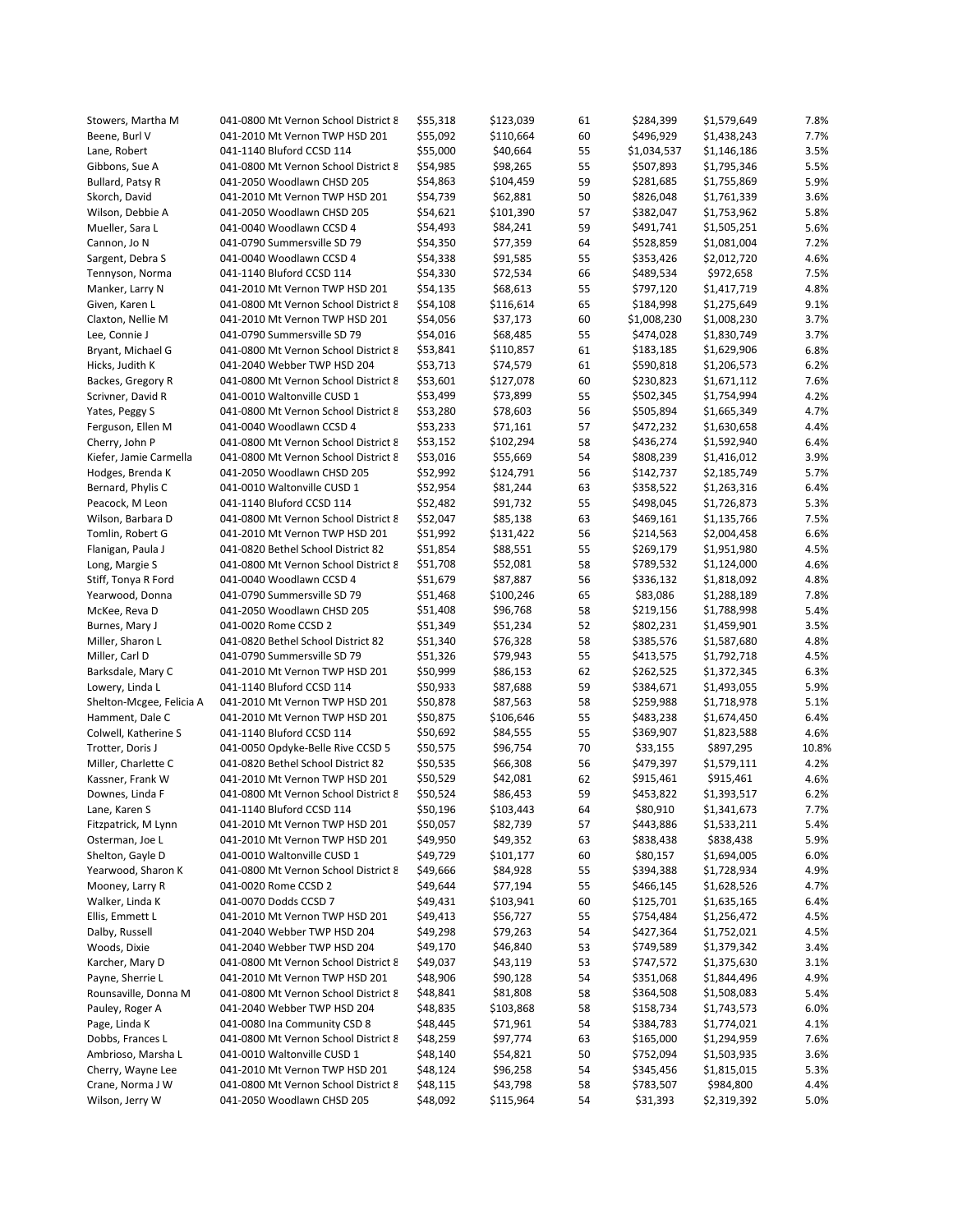| Stowers, Martha M                           | 041-0800 Mt Vernon School District 8                                   | \$55,318             | \$123,039            | 61 | \$284,399   | \$1,579,649 | 7.8%  |
|---------------------------------------------|------------------------------------------------------------------------|----------------------|----------------------|----|-------------|-------------|-------|
| Beene, Burl V                               | 041-2010 Mt Vernon TWP HSD 201                                         | \$55,092             | \$110,664            | 60 | \$496,929   | \$1,438,243 | 7.7%  |
| Lane, Robert                                | 041-1140 Bluford CCSD 114                                              | \$55,000             | \$40,664             | 55 | \$1,034,537 | \$1,146,186 | 3.5%  |
| Gibbons, Sue A                              | 041-0800 Mt Vernon School District 8                                   | \$54,985             | \$98,265             | 55 | \$507,893   | \$1,795,346 | 5.5%  |
| Bullard, Patsy R                            | 041-2050 Woodlawn CHSD 205                                             | \$54,863             | \$104,459            | 59 | \$281,685   | \$1,755,869 | 5.9%  |
| Skorch, David                               | 041-2010 Mt Vernon TWP HSD 201                                         | \$54,739             | \$62,881             | 50 | \$826,048   | \$1,761,339 | 3.6%  |
| Wilson, Debbie A                            | 041-2050 Woodlawn CHSD 205                                             | \$54,621             | \$101,390            | 57 | \$382,047   | \$1,753,962 | 5.8%  |
| Mueller, Sara L                             | 041-0040 Woodlawn CCSD 4                                               | \$54,493             | \$84,241             | 59 | \$491,741   | \$1,505,251 | 5.6%  |
| Cannon, Jo N                                | 041-0790 Summersville SD 79                                            | \$54,350             | \$77,359             | 64 | \$528,859   | \$1,081,004 | 7.2%  |
| Sargent, Debra S                            | 041-0040 Woodlawn CCSD 4                                               | \$54,338             | \$91,585             | 55 | \$353,426   | \$2,012,720 | 4.6%  |
| Tennyson, Norma                             | 041-1140 Bluford CCSD 114                                              | \$54,330             | \$72,534             | 66 | \$489,534   | \$972,658   | 7.5%  |
| Manker, Larry N                             | 041-2010 Mt Vernon TWP HSD 201                                         | \$54,135             | \$68,613             | 55 | \$797,120   | \$1,417,719 | 4.8%  |
| Given, Karen L                              | 041-0800 Mt Vernon School District 8                                   | \$54,108             | \$116,614            | 65 | \$184,998   | \$1,275,649 | 9.1%  |
| Claxton, Nellie M                           | 041-2010 Mt Vernon TWP HSD 201                                         | \$54,056             | \$37,173             | 60 | \$1,008,230 | \$1,008,230 | 3.7%  |
| Lee, Connie J                               | 041-0790 Summersville SD 79                                            | \$54,016             | \$68,485             | 55 | \$474,028   | \$1,830,749 | 3.7%  |
| Bryant, Michael G                           | 041-0800 Mt Vernon School District 8                                   | \$53,841             | \$110,857            | 61 | \$183,185   | \$1,629,906 | 6.8%  |
| Hicks, Judith K                             | 041-2040 Webber TWP HSD 204                                            | \$53,713             | \$74,579             | 61 | \$590,818   | \$1,206,573 | 6.2%  |
| Backes, Gregory R                           | 041-0800 Mt Vernon School District 8                                   | \$53,601             | \$127,078            | 60 | \$230,823   | \$1,671,112 | 7.6%  |
| Scrivner, David R                           | 041-0010 Waltonville CUSD 1                                            | \$53,499             | \$73,899             | 55 | \$502,345   | \$1,754,994 | 4.2%  |
| Yates, Peggy S                              | 041-0800 Mt Vernon School District 8                                   | \$53,280             | \$78,603             | 56 | \$505,894   | \$1,665,349 | 4.7%  |
| Ferguson, Ellen M                           | 041-0040 Woodlawn CCSD 4                                               | \$53,233             | \$71,161             | 57 | \$472,232   | \$1,630,658 | 4.4%  |
| Cherry, John P                              | 041-0800 Mt Vernon School District 8                                   | \$53,152             | \$102,294            | 58 | \$436,274   | \$1,592,940 | 6.4%  |
| Kiefer, Jamie Carmella                      | 041-0800 Mt Vernon School District 8                                   | \$53,016             | \$55,669             | 54 | \$808,239   | \$1,416,012 | 3.9%  |
| Hodges, Brenda K                            | 041-2050 Woodlawn CHSD 205                                             | \$52,992             | \$124,791            | 56 | \$142,737   | \$2,185,749 | 5.7%  |
| Bernard, Phylis C                           | 041-0010 Waltonville CUSD 1                                            | \$52,954             | \$81,244             | 63 | \$358,522   | \$1,263,316 | 6.4%  |
| Peacock, M Leon                             | 041-1140 Bluford CCSD 114                                              | \$52,482             | \$91,732             | 55 | \$498,045   | \$1,726,873 | 5.3%  |
| Wilson, Barbara D                           | 041-0800 Mt Vernon School District 8                                   | \$52,047             | \$85,138             | 63 | \$469,161   | \$1,135,766 | 7.5%  |
| Tomlin, Robert G                            | 041-2010 Mt Vernon TWP HSD 201                                         | \$51,992             | \$131,422            | 56 | \$214,563   | \$2,004,458 | 6.6%  |
| Flanigan, Paula J                           | 041-0820 Bethel School District 82                                     | \$51,854             | \$88,551             | 55 | \$269,179   | \$1,951,980 | 4.5%  |
| Long, Margie S                              | 041-0800 Mt Vernon School District 8                                   | \$51,708             | \$52,081             | 58 | \$789,532   | \$1,124,000 | 4.6%  |
| Stiff, Tonya R Ford                         | 041-0040 Woodlawn CCSD 4                                               | \$51,679             | \$87,887             | 56 | \$336,132   | \$1,818,092 | 4.8%  |
| Yearwood, Donna                             | 041-0790 Summersville SD 79                                            | \$51,468             | \$100,246            | 65 | \$83,086    | \$1,288,189 | 7.8%  |
| McKee, Reva D                               | 041-2050 Woodlawn CHSD 205                                             | \$51,408             | \$96,768             | 58 | \$219,156   | \$1,788,998 | 5.4%  |
| Burnes, Mary J                              | 041-0020 Rome CCSD 2                                                   | \$51,349             | \$51,234             | 52 | \$802,231   | \$1,459,901 | 3.5%  |
| Miller, Sharon L                            | 041-0820 Bethel School District 82                                     | \$51,340             | \$76,328             | 58 | \$385,576   | \$1,587,680 | 4.8%  |
| Miller, Carl D                              | 041-0790 Summersville SD 79                                            | \$51,326             | \$79,943             | 55 | \$413,575   | \$1,792,718 | 4.5%  |
| Barksdale, Mary C                           | 041-2010 Mt Vernon TWP HSD 201                                         | \$50,999             | \$86,153             | 62 | \$262,525   | \$1,372,345 | 6.3%  |
|                                             | 041-1140 Bluford CCSD 114                                              | \$50,933             | \$87,688             | 59 | \$384,671   | \$1,493,055 | 5.9%  |
| Lowery, Linda L<br>Shelton-Mcgee, Felicia A | 041-2010 Mt Vernon TWP HSD 201                                         | \$50,878             | \$87,563             | 58 | \$259,988   | \$1,718,978 | 5.1%  |
| Hamment, Dale C                             | 041-2010 Mt Vernon TWP HSD 201                                         | \$50,875             | \$106,646            | 55 | \$483,238   | \$1,674,450 | 6.4%  |
| Colwell, Katherine S                        | 041-1140 Bluford CCSD 114                                              | \$50,692             | \$84,555             | 55 | \$369,907   | \$1,823,588 | 4.6%  |
| Trotter, Doris J                            | 041-0050 Opdyke-Belle Rive CCSD 5                                      | \$50,575             | \$96,754             | 70 | \$33,155    | \$897,295   | 10.8% |
| Miller, Charlette C                         | 041-0820 Bethel School District 82                                     | \$50,535             | \$66,308             | 56 | \$479,397   | \$1,579,111 | 4.2%  |
| Kassner, Frank W                            |                                                                        | \$50,529             |                      | 62 |             | \$915,461   | 4.6%  |
|                                             | 041-2010 Mt Vernon TWP HSD 201<br>041-0800 Mt Vernon School District 8 |                      | \$42,081<br>\$86,453 | 59 | \$915,461   |             | 6.2%  |
| Downes, Linda F                             | 041-1140 Bluford CCSD 114                                              | \$50,524<br>\$50,196 |                      |    | \$453,822   | \$1,393,517 | 7.7%  |
| Lane, Karen S                               |                                                                        |                      | \$103,443            | 64 | \$80,910    | \$1,341,673 |       |
| Fitzpatrick, M Lynn                         | 041-2010 Mt Vernon TWP HSD 201                                         | \$50,057             | \$82,739             | 57 | \$443,886   | \$1,533,211 | 5.4%  |
| Osterman, Joe L                             | 041-2010 Mt Vernon TWP HSD 201<br>041-0010 Waltonville CUSD 1          | \$49,950             | \$49,352             | 63 | \$838,438   | \$838,438   | 5.9%  |
| Shelton, Gayle D<br>Yearwood, Sharon K      |                                                                        | \$49,729             | \$101,177            | 60 | \$80,157    | \$1,694,005 | 6.0%  |
|                                             | 041-0800 Mt Vernon School District 8                                   | \$49,666<br>\$49,644 | \$84,928<br>\$77,194 | 55 | \$394,388   | \$1,728,934 | 4.9%  |
| Mooney, Larry R                             | 041-0020 Rome CCSD 2<br>041-0070 Dodds CCSD 7                          |                      |                      | 55 | \$466,145   | \$1,628,526 | 4.7%  |
| Walker, Linda K                             |                                                                        | \$49,431             | \$103,941            | 60 | \$125,701   | \$1,635,165 | 6.4%  |
| Ellis, Emmett L                             | 041-2010 Mt Vernon TWP HSD 201                                         | \$49,413             | \$56,727             | 55 | \$754,484   | \$1,256,472 | 4.5%  |
| Dalby, Russell                              | 041-2040 Webber TWP HSD 204                                            | \$49,298             | \$79,263             | 54 | \$427,364   | \$1,752,021 | 4.5%  |
| Woods, Dixie                                | 041-2040 Webber TWP HSD 204                                            | \$49,170             | \$46,840             | 53 | \$749,589   | \$1,379,342 | 3.4%  |
| Karcher, Mary D                             | 041-0800 Mt Vernon School District 8                                   | \$49,037             | \$43,119             | 53 | \$747,572   | \$1,375,630 | 3.1%  |
| Payne, Sherrie L                            | 041-2010 Mt Vernon TWP HSD 201                                         | \$48,906             | \$90,128             | 54 | \$351,068   | \$1,844,496 | 4.9%  |
| Rounsaville, Donna M                        | 041-0800 Mt Vernon School District 8                                   | \$48,841             | \$81,808             | 58 | \$364,508   | \$1,508,083 | 5.4%  |
| Pauley, Roger A                             | 041-2040 Webber TWP HSD 204                                            | \$48,835             | \$103,868            | 58 | \$158,734   | \$1,743,573 | 6.0%  |
| Page, Linda K                               | 041-0080 Ina Community CSD 8                                           | \$48,445             | \$71,961             | 54 | \$384,783   | \$1,774,021 | 4.1%  |
| Dobbs, Frances L                            | 041-0800 Mt Vernon School District 8                                   | \$48,259             | \$97,774             | 63 | \$165,000   | \$1,294,959 | 7.6%  |
| Ambrioso, Marsha L                          | 041-0010 Waltonville CUSD 1                                            | \$48,140             | \$54,821             | 50 | \$752,094   | \$1,503,935 | 3.6%  |
| Cherry, Wayne Lee                           | 041-2010 Mt Vernon TWP HSD 201                                         | \$48,124             | \$96,258             | 54 | \$345,456   | \$1,815,015 | 5.3%  |
| Crane, Norma J W                            | 041-0800 Mt Vernon School District 8                                   | \$48,115             | \$43,798             | 58 | \$783,507   | \$984,800   | 4.4%  |
| Wilson, Jerry W                             | 041-2050 Woodlawn CHSD 205                                             | \$48,092             | \$115,964            | 54 | \$31,393    | \$2,319,392 | 5.0%  |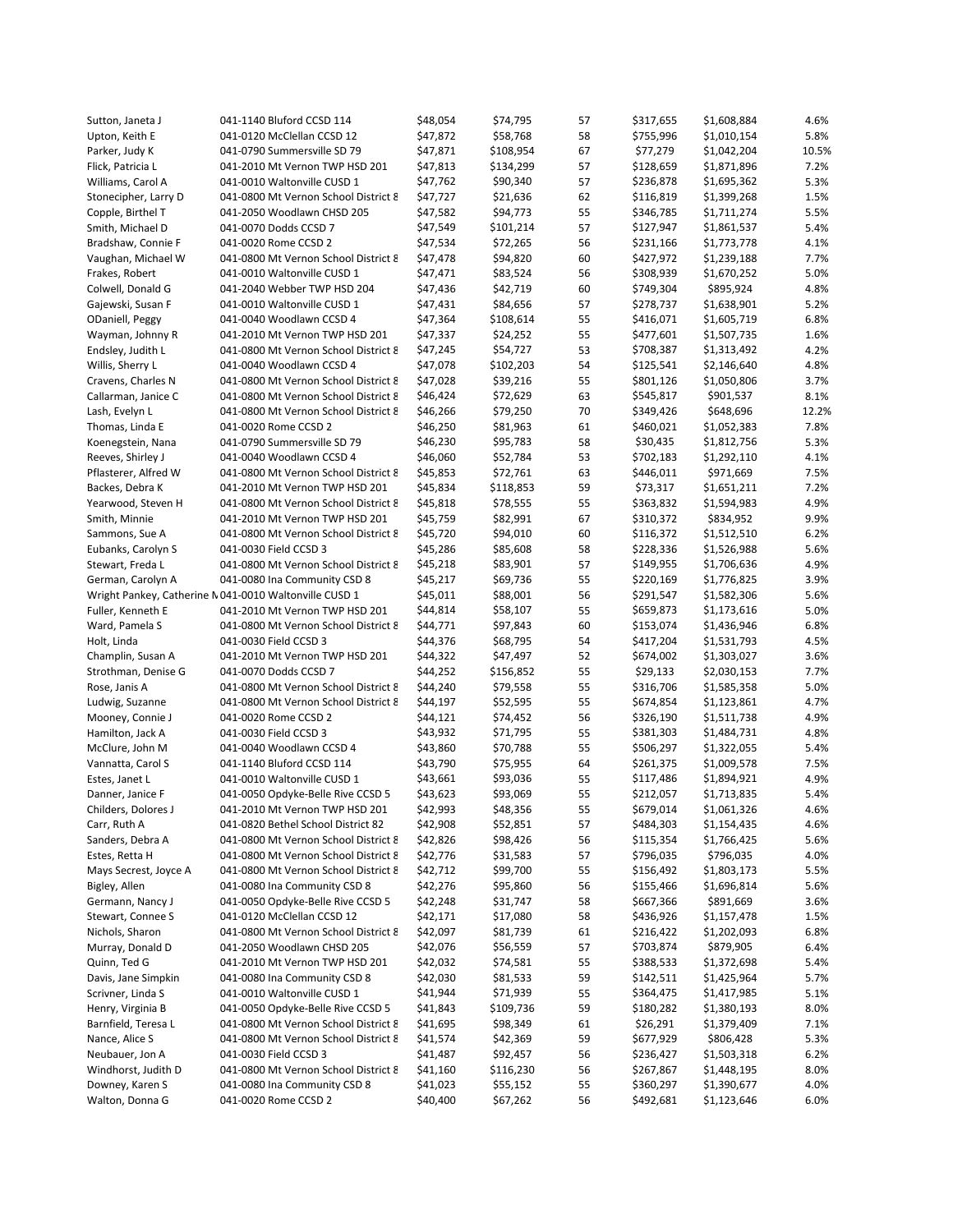| Sutton, Janeta J      | 041-1140 Bluford CCSD 114                              | \$48,054 | \$74,795  | 57 | \$317,655 | \$1,608,884 | 4.6%  |
|-----------------------|--------------------------------------------------------|----------|-----------|----|-----------|-------------|-------|
| Upton, Keith E        | 041-0120 McClellan CCSD 12                             | \$47,872 | \$58,768  | 58 | \$755,996 | \$1,010,154 | 5.8%  |
| Parker, Judy K        | 041-0790 Summersville SD 79                            | \$47,871 | \$108,954 | 67 | \$77,279  | \$1,042,204 | 10.5% |
| Flick, Patricia L     | 041-2010 Mt Vernon TWP HSD 201                         | \$47,813 | \$134,299 | 57 | \$128,659 | \$1,871,896 | 7.2%  |
| Williams, Carol A     | 041-0010 Waltonville CUSD 1                            | \$47,762 | \$90,340  | 57 | \$236,878 | \$1,695,362 | 5.3%  |
| Stonecipher, Larry D  | 041-0800 Mt Vernon School District 8                   | \$47,727 | \$21,636  | 62 | \$116,819 | \$1,399,268 | 1.5%  |
| Copple, Birthel T     | 041-2050 Woodlawn CHSD 205                             | \$47,582 | \$94,773  | 55 | \$346,785 | \$1,711,274 | 5.5%  |
| Smith, Michael D      | 041-0070 Dodds CCSD 7                                  | \$47,549 | \$101,214 | 57 | \$127,947 | \$1,861,537 | 5.4%  |
| Bradshaw, Connie F    | 041-0020 Rome CCSD 2                                   | \$47,534 | \$72,265  | 56 | \$231,166 | \$1,773,778 | 4.1%  |
| Vaughan, Michael W    | 041-0800 Mt Vernon School District 8                   | \$47,478 | \$94,820  | 60 | \$427,972 | \$1,239,188 | 7.7%  |
| Frakes, Robert        | 041-0010 Waltonville CUSD 1                            | \$47,471 | \$83,524  | 56 | \$308,939 | \$1,670,252 | 5.0%  |
| Colwell, Donald G     | 041-2040 Webber TWP HSD 204                            | \$47,436 | \$42,719  | 60 | \$749,304 | \$895,924   | 4.8%  |
| Gajewski, Susan F     | 041-0010 Waltonville CUSD 1                            | \$47,431 | \$84,656  | 57 | \$278,737 | \$1,638,901 | 5.2%  |
| ODaniell, Peggy       | 041-0040 Woodlawn CCSD 4                               | \$47,364 | \$108,614 | 55 | \$416,071 | \$1,605,719 | 6.8%  |
| Wayman, Johnny R      | 041-2010 Mt Vernon TWP HSD 201                         | \$47,337 | \$24,252  | 55 | \$477,601 | \$1,507,735 | 1.6%  |
| Endsley, Judith L     | 041-0800 Mt Vernon School District 8                   | \$47,245 | \$54,727  | 53 | \$708,387 | \$1,313,492 | 4.2%  |
| Willis, Sherry L      | 041-0040 Woodlawn CCSD 4                               | \$47,078 | \$102,203 | 54 | \$125,541 | \$2,146,640 | 4.8%  |
|                       |                                                        | \$47,028 | \$39,216  | 55 | \$801,126 | \$1,050,806 | 3.7%  |
| Cravens, Charles N    | 041-0800 Mt Vernon School District 8                   | \$46,424 | \$72,629  |    | \$545,817 | \$901,537   | 8.1%  |
| Callarman, Janice C   | 041-0800 Mt Vernon School District 8                   |          |           | 63 |           |             |       |
| Lash, Evelyn L        | 041-0800 Mt Vernon School District 8                   | \$46,266 | \$79,250  | 70 | \$349,426 | \$648,696   | 12.2% |
| Thomas, Linda E       | 041-0020 Rome CCSD 2                                   | \$46,250 | \$81,963  | 61 | \$460,021 | \$1,052,383 | 7.8%  |
| Koenegstein, Nana     | 041-0790 Summersville SD 79                            | \$46,230 | \$95,783  | 58 | \$30,435  | \$1,812,756 | 5.3%  |
| Reeves, Shirley J     | 041-0040 Woodlawn CCSD 4                               | \$46,060 | \$52,784  | 53 | \$702,183 | \$1,292,110 | 4.1%  |
| Pflasterer, Alfred W  | 041-0800 Mt Vernon School District 8                   | \$45,853 | \$72,761  | 63 | \$446,011 | \$971,669   | 7.5%  |
| Backes, Debra K       | 041-2010 Mt Vernon TWP HSD 201                         | \$45,834 | \$118,853 | 59 | \$73,317  | \$1,651,211 | 7.2%  |
| Yearwood, Steven H    | 041-0800 Mt Vernon School District 8                   | \$45,818 | \$78,555  | 55 | \$363,832 | \$1,594,983 | 4.9%  |
| Smith, Minnie         | 041-2010 Mt Vernon TWP HSD 201                         | \$45,759 | \$82,991  | 67 | \$310,372 | \$834,952   | 9.9%  |
| Sammons, Sue A        | 041-0800 Mt Vernon School District 8                   | \$45,720 | \$94,010  | 60 | \$116,372 | \$1,512,510 | 6.2%  |
| Eubanks, Carolyn S    | 041-0030 Field CCSD 3                                  | \$45,286 | \$85,608  | 58 | \$228,336 | \$1,526,988 | 5.6%  |
| Stewart, Freda L      | 041-0800 Mt Vernon School District 8                   | \$45,218 | \$83,901  | 57 | \$149,955 | \$1,706,636 | 4.9%  |
| German, Carolyn A     | 041-0080 Ina Community CSD 8                           | \$45,217 | \$69,736  | 55 | \$220,169 | \$1,776,825 | 3.9%  |
|                       | Wright Pankey, Catherine N 041-0010 Waltonville CUSD 1 | \$45,011 | \$88,001  | 56 | \$291,547 | \$1,582,306 | 5.6%  |
| Fuller, Kenneth E     | 041-2010 Mt Vernon TWP HSD 201                         | \$44,814 | \$58,107  | 55 | \$659,873 | \$1,173,616 | 5.0%  |
| Ward, Pamela S        | 041-0800 Mt Vernon School District 8                   | \$44,771 | \$97,843  | 60 | \$153,074 | \$1,436,946 | 6.8%  |
| Holt, Linda           | 041-0030 Field CCSD 3                                  | \$44,376 | \$68,795  | 54 | \$417,204 | \$1,531,793 | 4.5%  |
| Champlin, Susan A     | 041-2010 Mt Vernon TWP HSD 201                         | \$44,322 | \$47,497  | 52 | \$674,002 | \$1,303,027 | 3.6%  |
| Strothman, Denise G   | 041-0070 Dodds CCSD 7                                  | \$44,252 | \$156,852 | 55 | \$29,133  | \$2,030,153 | 7.7%  |
| Rose, Janis A         | 041-0800 Mt Vernon School District 8                   | \$44,240 | \$79,558  | 55 | \$316,706 | \$1,585,358 | 5.0%  |
| Ludwig, Suzanne       | 041-0800 Mt Vernon School District 8                   | \$44,197 | \$52,595  | 55 | \$674,854 | \$1,123,861 | 4.7%  |
| Mooney, Connie J      | 041-0020 Rome CCSD 2                                   | \$44,121 | \$74,452  | 56 | \$326,190 | \$1,511,738 | 4.9%  |
| Hamilton, Jack A      | 041-0030 Field CCSD 3                                  | \$43,932 | \$71,795  | 55 | \$381,303 | \$1,484,731 | 4.8%  |
| McClure, John M       | 041-0040 Woodlawn CCSD 4                               | \$43,860 | \$70,788  | 55 | \$506,297 | \$1,322,055 | 5.4%  |
| Vannatta, Carol S     | 041-1140 Bluford CCSD 114                              | \$43,790 | \$75,955  | 64 | \$261,375 | \$1,009,578 | 7.5%  |
| Estes, Janet L        | 041-0010 Waltonville CUSD 1                            | \$43,661 | \$93,036  | 55 | \$117,486 | \$1,894,921 | 4.9%  |
| Danner, Janice F      | 041-0050 Opdyke-Belle Rive CCSD 5                      | \$43,623 | \$93,069  | 55 | \$212,057 | \$1,713,835 | 5.4%  |
| Childers, Dolores J   | 041-2010 Mt Vernon TWP HSD 201                         | \$42,993 | \$48,356  | 55 | \$679,014 | \$1,061,326 | 4.6%  |
| Carr, Ruth A          | 041-0820 Bethel School District 82                     | \$42,908 | \$52,851  | 57 | \$484,303 | \$1,154,435 | 4.6%  |
| Sanders, Debra A      | 041-0800 Mt Vernon School District 8                   | \$42,826 | \$98,426  | 56 | \$115,354 | \$1,766,425 | 5.6%  |
| Estes, Retta H        | 041-0800 Mt Vernon School District 8                   | \$42,776 | \$31,583  | 57 | \$796,035 | \$796,035   | 4.0%  |
| Mays Secrest, Joyce A | 041-0800 Mt Vernon School District 8                   | \$42,712 | \$99,700  | 55 | \$156,492 | \$1,803,173 | 5.5%  |
|                       |                                                        | \$42,276 |           |    |           |             |       |
| Bigley, Allen         | 041-0080 Ina Community CSD 8                           |          | \$95,860  | 56 | \$155,466 | \$1,696,814 | 5.6%  |
| Germann, Nancy J      | 041-0050 Opdyke-Belle Rive CCSD 5                      | \$42,248 | \$31,747  | 58 | \$667,366 | \$891,669   | 3.6%  |
| Stewart, Connee S     | 041-0120 McClellan CCSD 12                             | \$42,171 | \$17,080  | 58 | \$436,926 | \$1,157,478 | 1.5%  |
| Nichols, Sharon       | 041-0800 Mt Vernon School District 8                   | \$42,097 | \$81,739  | 61 | \$216,422 | \$1,202,093 | 6.8%  |
| Murray, Donald D      | 041-2050 Woodlawn CHSD 205                             | \$42,076 | \$56,559  | 57 | \$703,874 | \$879,905   | 6.4%  |
| Quinn, Ted G          | 041-2010 Mt Vernon TWP HSD 201                         | \$42,032 | \$74,581  | 55 | \$388,533 | \$1,372,698 | 5.4%  |
| Davis, Jane Simpkin   | 041-0080 Ina Community CSD 8                           | \$42,030 | \$81,533  | 59 | \$142,511 | \$1,425,964 | 5.7%  |
| Scrivner, Linda S     | 041-0010 Waltonville CUSD 1                            | \$41,944 | \$71,939  | 55 | \$364,475 | \$1,417,985 | 5.1%  |
| Henry, Virginia B     | 041-0050 Opdyke-Belle Rive CCSD 5                      | \$41,843 | \$109,736 | 59 | \$180,282 | \$1,380,193 | 8.0%  |
| Barnfield, Teresa L   | 041-0800 Mt Vernon School District 8                   | \$41,695 | \$98,349  | 61 | \$26,291  | \$1,379,409 | 7.1%  |
| Nance, Alice S        | 041-0800 Mt Vernon School District 8                   | \$41,574 | \$42,369  | 59 | \$677,929 | \$806,428   | 5.3%  |
| Neubauer, Jon A       | 041-0030 Field CCSD 3                                  | \$41,487 | \$92,457  | 56 | \$236,427 | \$1,503,318 | 6.2%  |
| Windhorst, Judith D   | 041-0800 Mt Vernon School District 8                   | \$41,160 | \$116,230 | 56 | \$267,867 | \$1,448,195 | 8.0%  |
| Downey, Karen S       | 041-0080 Ina Community CSD 8                           | \$41,023 | \$55,152  | 55 | \$360,297 | \$1,390,677 | 4.0%  |
| Walton, Donna G       | 041-0020 Rome CCSD 2                                   | \$40,400 | \$67,262  | 56 | \$492,681 | \$1,123,646 | 6.0%  |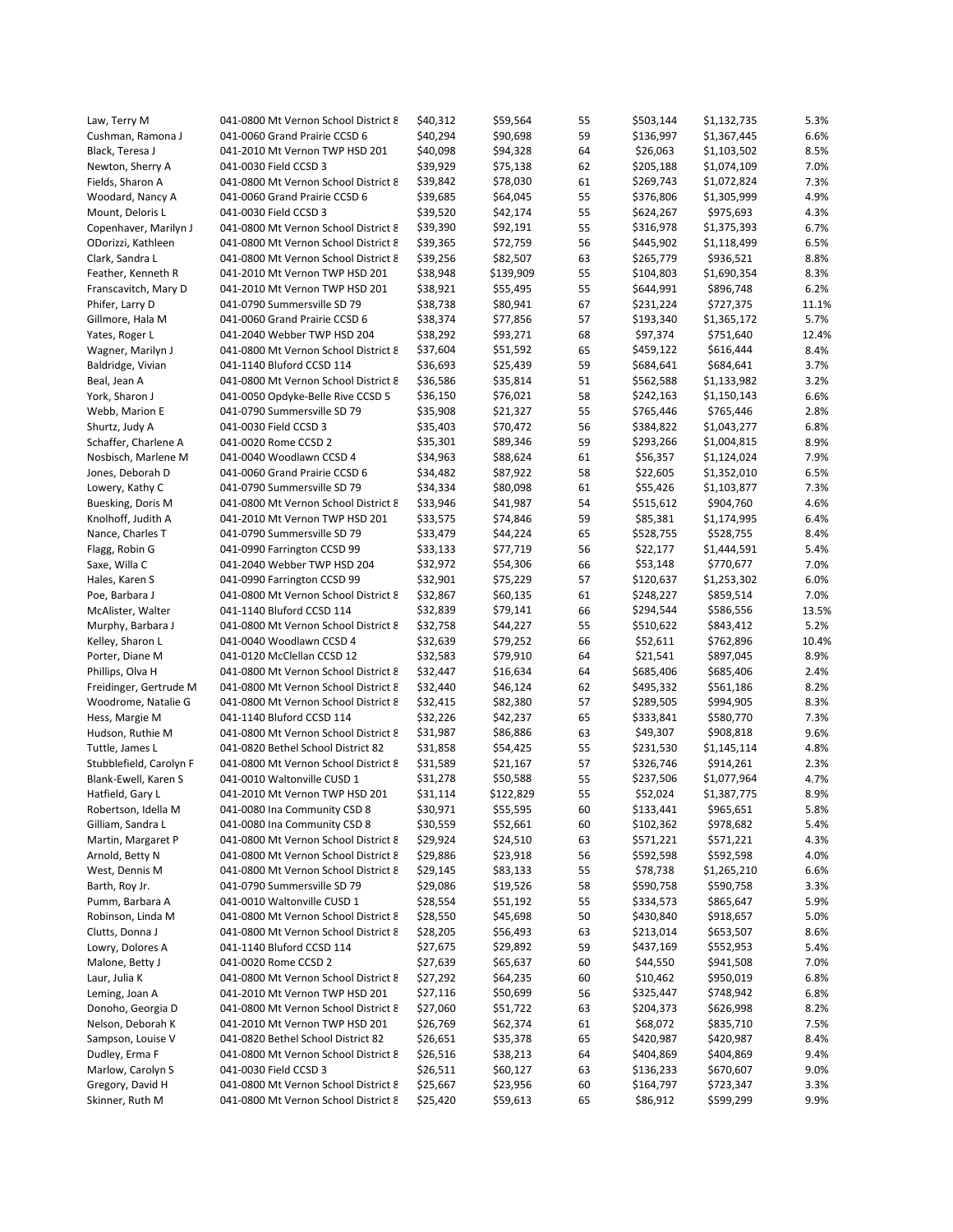| Law, Terry M            | 041-0800 Mt Vernon School District 8 | \$40,312 | \$59,564  | 55 | \$503,144 | \$1,132,735 | 5.3%  |
|-------------------------|--------------------------------------|----------|-----------|----|-----------|-------------|-------|
| Cushman, Ramona J       | 041-0060 Grand Prairie CCSD 6        | \$40,294 | \$90,698  | 59 | \$136,997 | \$1,367,445 | 6.6%  |
| Black, Teresa J         | 041-2010 Mt Vernon TWP HSD 201       | \$40,098 | \$94,328  | 64 | \$26,063  | \$1,103,502 | 8.5%  |
| Newton, Sherry A        | 041-0030 Field CCSD 3                | \$39,929 | \$75,138  | 62 | \$205,188 | \$1,074,109 | 7.0%  |
| Fields, Sharon A        | 041-0800 Mt Vernon School District 8 | \$39,842 | \$78,030  | 61 | \$269,743 | \$1,072,824 | 7.3%  |
| Woodard, Nancy A        | 041-0060 Grand Prairie CCSD 6        | \$39,685 | \$64,045  | 55 | \$376,806 | \$1,305,999 | 4.9%  |
| Mount, Deloris L        | 041-0030 Field CCSD 3                | \$39,520 | \$42,174  | 55 | \$624,267 | \$975,693   | 4.3%  |
| Copenhaver, Marilyn J   | 041-0800 Mt Vernon School District 8 | \$39,390 | \$92,191  | 55 | \$316,978 | \$1,375,393 | 6.7%  |
| ODorizzi, Kathleen      | 041-0800 Mt Vernon School District 8 | \$39,365 | \$72,759  | 56 | \$445,902 | \$1,118,499 | 6.5%  |
| Clark, Sandra L         | 041-0800 Mt Vernon School District 8 | \$39,256 | \$82,507  | 63 | \$265,779 | \$936,521   | 8.8%  |
| Feather, Kenneth R      | 041-2010 Mt Vernon TWP HSD 201       | \$38,948 | \$139,909 | 55 | \$104,803 | \$1,690,354 | 8.3%  |
| Franscavitch, Mary D    | 041-2010 Mt Vernon TWP HSD 201       | \$38,921 | \$55,495  | 55 | \$644,991 | \$896,748   | 6.2%  |
| Phifer, Larry D         | 041-0790 Summersville SD 79          | \$38,738 | \$80,941  | 67 | \$231,224 | \$727,375   | 11.1% |
| Gillmore, Hala M        | 041-0060 Grand Prairie CCSD 6        | \$38,374 | \$77,856  | 57 | \$193,340 | \$1,365,172 | 5.7%  |
| Yates, Roger L          | 041-2040 Webber TWP HSD 204          | \$38,292 | \$93,271  | 68 | \$97,374  | \$751,640   | 12.4% |
| Wagner, Marilyn J       | 041-0800 Mt Vernon School District 8 | \$37,604 | \$51,592  | 65 | \$459,122 | \$616,444   | 8.4%  |
| Baldridge, Vivian       | 041-1140 Bluford CCSD 114            | \$36,693 | \$25,439  | 59 | \$684,641 | \$684,641   | 3.7%  |
| Beal, Jean A            | 041-0800 Mt Vernon School District 8 | \$36,586 | \$35,814  | 51 | \$562,588 | \$1,133,982 | 3.2%  |
| York, Sharon J          | 041-0050 Opdyke-Belle Rive CCSD 5    | \$36,150 | \$76,021  | 58 | \$242,163 | \$1,150,143 | 6.6%  |
| Webb, Marion E          | 041-0790 Summersville SD 79          | \$35,908 | \$21,327  | 55 | \$765,446 | \$765,446   | 2.8%  |
| Shurtz, Judy A          | 041-0030 Field CCSD 3                | \$35,403 | \$70,472  | 56 | \$384,822 | \$1,043,277 | 6.8%  |
| Schaffer, Charlene A    | 041-0020 Rome CCSD 2                 | \$35,301 | \$89,346  | 59 | \$293,266 | \$1,004,815 | 8.9%  |
| Nosbisch, Marlene M     | 041-0040 Woodlawn CCSD 4             | \$34,963 | \$88,624  | 61 | \$56,357  | \$1,124,024 | 7.9%  |
| Jones, Deborah D        | 041-0060 Grand Prairie CCSD 6        | \$34,482 | \$87,922  | 58 | \$22,605  | \$1,352,010 | 6.5%  |
| Lowery, Kathy C         | 041-0790 Summersville SD 79          | \$34,334 | \$80,098  | 61 | \$55,426  | \$1,103,877 | 7.3%  |
| Buesking, Doris M       | 041-0800 Mt Vernon School District 8 | \$33,946 | \$41,987  | 54 | \$515,612 | \$904,760   | 4.6%  |
| Knolhoff, Judith A      | 041-2010 Mt Vernon TWP HSD 201       | \$33,575 | \$74,846  | 59 | \$85,381  | \$1,174,995 | 6.4%  |
| Nance, Charles T        | 041-0790 Summersville SD 79          | \$33,479 | \$44,224  | 65 | \$528,755 | \$528,755   | 8.4%  |
| Flagg, Robin G          | 041-0990 Farrington CCSD 99          | \$33,133 | \$77,719  | 56 | \$22,177  | \$1,444,591 | 5.4%  |
| Saxe, Willa C           | 041-2040 Webber TWP HSD 204          | \$32,972 | \$54,306  | 66 | \$53,148  | \$770,677   | 7.0%  |
| Hales, Karen S          | 041-0990 Farrington CCSD 99          | \$32,901 | \$75,229  | 57 | \$120,637 | \$1,253,302 | 6.0%  |
| Poe, Barbara J          | 041-0800 Mt Vernon School District 8 | \$32,867 | \$60,135  | 61 | \$248,227 | \$859,514   | 7.0%  |
| McAlister, Walter       | 041-1140 Bluford CCSD 114            | \$32,839 | \$79,141  | 66 | \$294,544 | \$586,556   | 13.5% |
| Murphy, Barbara J       | 041-0800 Mt Vernon School District 8 | \$32,758 | \$44,227  | 55 | \$510,622 | \$843,412   | 5.2%  |
| Kelley, Sharon L        | 041-0040 Woodlawn CCSD 4             | \$32,639 | \$79,252  | 66 | \$52,611  | \$762,896   | 10.4% |
| Porter, Diane M         | 041-0120 McClellan CCSD 12           | \$32,583 | \$79,910  | 64 | \$21,541  | \$897,045   | 8.9%  |
| Phillips, Olva H        | 041-0800 Mt Vernon School District 8 | \$32,447 | \$16,634  | 64 | \$685,406 | \$685,406   | 2.4%  |
| Freidinger, Gertrude M  | 041-0800 Mt Vernon School District 8 | \$32,440 | \$46,124  | 62 | \$495,332 | \$561,186   | 8.2%  |
| Woodrome, Natalie G     | 041-0800 Mt Vernon School District 8 | \$32,415 | \$82,380  | 57 | \$289,505 | \$994,905   | 8.3%  |
| Hess, Margie M          | 041-1140 Bluford CCSD 114            | \$32,226 | \$42,237  | 65 | \$333,841 | \$580,770   | 7.3%  |
| Hudson, Ruthie M        | 041-0800 Mt Vernon School District 8 | \$31,987 | \$86,886  | 63 | \$49,307  | \$908,818   | 9.6%  |
| Tuttle, James L         | 041-0820 Bethel School District 82   | \$31,858 | \$54,425  | 55 | \$231,530 | \$1,145,114 | 4.8%  |
| Stubblefield, Carolyn F | 041-0800 Mt Vernon School District 8 | \$31,589 | \$21,167  | 57 | \$326,746 | \$914,261   | 2.3%  |
| Blank-Ewell, Karen S    | 041-0010 Waltonville CUSD 1          | \$31,278 | \$50,588  | 55 | \$237,506 | \$1,077,964 | 4.7%  |
| Hatfield, Gary L        | 041-2010 Mt Vernon TWP HSD 201       | \$31,114 | \$122,829 | 55 | \$52,024  | \$1,387,775 | 8.9%  |
| Robertson, Idella M     | 041-0080 Ina Community CSD 8         | \$30,971 | \$55,595  | 60 | \$133,441 | \$965,651   | 5.8%  |
| Gilliam, Sandra L       | 041-0080 Ina Community CSD 8         | \$30,559 | \$52,661  | 60 | \$102,362 | \$978,682   | 5.4%  |
| Martin, Margaret P      | 041-0800 Mt Vernon School District 8 | \$29,924 | \$24,510  | 63 | \$571,221 | \$571,221   | 4.3%  |
| Arnold, Betty N         | 041-0800 Mt Vernon School District 8 | \$29,886 | \$23,918  | 56 | \$592,598 | \$592,598   | 4.0%  |
| West, Dennis M          | 041-0800 Mt Vernon School District 8 | \$29,145 | \$83,133  | 55 | \$78,738  | \$1,265,210 | 6.6%  |
| Barth, Roy Jr.          | 041-0790 Summersville SD 79          | \$29,086 | \$19,526  | 58 | \$590,758 | \$590,758   | 3.3%  |
| Pumm, Barbara A         | 041-0010 Waltonville CUSD 1          | \$28,554 | \$51,192  | 55 | \$334,573 | \$865,647   | 5.9%  |
| Robinson, Linda M       | 041-0800 Mt Vernon School District 8 | \$28,550 | \$45,698  | 50 | \$430,840 | \$918,657   | 5.0%  |
| Clutts, Donna J         | 041-0800 Mt Vernon School District 8 | \$28,205 | \$56,493  | 63 | \$213,014 | \$653,507   | 8.6%  |
| Lowry, Dolores A        | 041-1140 Bluford CCSD 114            | \$27,675 | \$29,892  | 59 | \$437,169 | \$552,953   | 5.4%  |
| Malone, Betty J         | 041-0020 Rome CCSD 2                 | \$27,639 | \$65,637  | 60 | \$44,550  | \$941,508   | 7.0%  |
| Laur, Julia K           | 041-0800 Mt Vernon School District 8 | \$27,292 | \$64,235  | 60 | \$10,462  | \$950,019   | 6.8%  |
| Leming, Joan A          | 041-2010 Mt Vernon TWP HSD 201       | \$27,116 | \$50,699  | 56 | \$325,447 | \$748,942   | 6.8%  |
| Donoho, Georgia D       | 041-0800 Mt Vernon School District 8 | \$27,060 | \$51,722  | 63 | \$204,373 | \$626,998   | 8.2%  |
| Nelson, Deborah K       | 041-2010 Mt Vernon TWP HSD 201       | \$26,769 | \$62,374  | 61 | \$68,072  | \$835,710   | 7.5%  |
| Sampson, Louise V       | 041-0820 Bethel School District 82   | \$26,651 | \$35,378  | 65 | \$420,987 | \$420,987   | 8.4%  |
| Dudley, Erma F          | 041-0800 Mt Vernon School District 8 | \$26,516 | \$38,213  | 64 | \$404,869 | \$404,869   | 9.4%  |
| Marlow, Carolyn S       | 041-0030 Field CCSD 3                | \$26,511 | \$60,127  | 63 | \$136,233 | \$670,607   | 9.0%  |
| Gregory, David H        | 041-0800 Mt Vernon School District 8 | \$25,667 | \$23,956  | 60 | \$164,797 | \$723,347   | 3.3%  |
| Skinner, Ruth M         | 041-0800 Mt Vernon School District 8 | \$25,420 | \$59,613  | 65 | \$86,912  | \$599,299   | 9.9%  |
|                         |                                      |          |           |    |           |             |       |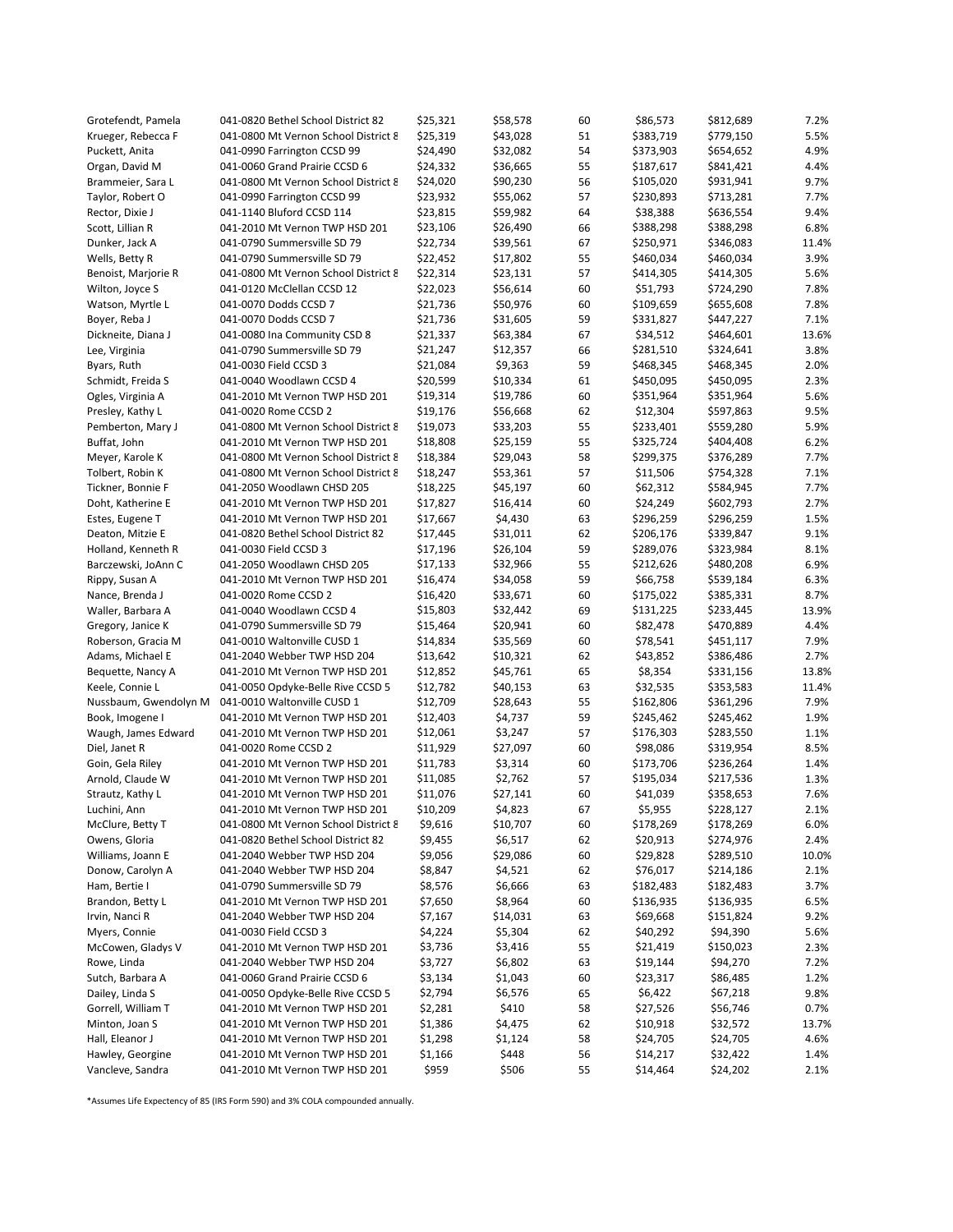| Grotefendt, Pamela    | 041-0820 Bethel School District 82   | \$25,321 | \$58,578 | 60 | \$86,573  | \$812,689 | 7.2%  |
|-----------------------|--------------------------------------|----------|----------|----|-----------|-----------|-------|
| Krueger, Rebecca F    | 041-0800 Mt Vernon School District 8 | \$25,319 | \$43,028 | 51 | \$383,719 | \$779,150 | 5.5%  |
| Puckett, Anita        | 041-0990 Farrington CCSD 99          | \$24,490 | \$32,082 | 54 | \$373,903 | \$654,652 | 4.9%  |
| Organ, David M        | 041-0060 Grand Prairie CCSD 6        | \$24,332 | \$36,665 | 55 | \$187,617 | \$841,421 | 4.4%  |
| Brammeier, Sara L     | 041-0800 Mt Vernon School District 8 | \$24,020 | \$90,230 | 56 | \$105,020 | \$931,941 | 9.7%  |
| Taylor, Robert O      | 041-0990 Farrington CCSD 99          | \$23,932 | \$55,062 | 57 | \$230,893 | \$713,281 | 7.7%  |
| Rector, Dixie J       | 041-1140 Bluford CCSD 114            | \$23,815 | \$59,982 | 64 | \$38,388  | \$636,554 | 9.4%  |
| Scott, Lillian R      | 041-2010 Mt Vernon TWP HSD 201       | \$23,106 | \$26,490 | 66 | \$388,298 | \$388,298 | 6.8%  |
| Dunker, Jack A        | 041-0790 Summersville SD 79          | \$22,734 | \$39,561 | 67 | \$250,971 | \$346,083 | 11.4% |
| Wells, Betty R        | 041-0790 Summersville SD 79          | \$22,452 | \$17,802 | 55 | \$460,034 | \$460,034 | 3.9%  |
| Benoist, Marjorie R   | 041-0800 Mt Vernon School District 8 | \$22,314 | \$23,131 | 57 | \$414,305 | \$414,305 | 5.6%  |
| Wilton, Joyce S       | 041-0120 McClellan CCSD 12           | \$22,023 | \$56,614 | 60 | \$51,793  | \$724,290 | 7.8%  |
| Watson, Myrtle L      | 041-0070 Dodds CCSD 7                | \$21,736 | \$50,976 | 60 | \$109,659 | \$655,608 | 7.8%  |
| Boyer, Reba J         | 041-0070 Dodds CCSD 7                | \$21,736 | \$31,605 | 59 | \$331,827 | \$447,227 | 7.1%  |
| Dickneite, Diana J    | 041-0080 Ina Community CSD 8         | \$21,337 | \$63,384 | 67 | \$34,512  | \$464,601 | 13.6% |
| Lee, Virginia         | 041-0790 Summersville SD 79          | \$21,247 | \$12,357 | 66 | \$281,510 | \$324,641 | 3.8%  |
|                       | 041-0030 Field CCSD 3                | \$21,084 | \$9,363  | 59 |           |           | 2.0%  |
| Byars, Ruth           |                                      |          |          |    | \$468,345 | \$468,345 |       |
| Schmidt, Freida S     | 041-0040 Woodlawn CCSD 4             | \$20,599 | \$10,334 | 61 | \$450,095 | \$450,095 | 2.3%  |
| Ogles, Virginia A     | 041-2010 Mt Vernon TWP HSD 201       | \$19,314 | \$19,786 | 60 | \$351,964 | \$351,964 | 5.6%  |
| Presley, Kathy L      | 041-0020 Rome CCSD 2                 | \$19,176 | \$56,668 | 62 | \$12,304  | \$597,863 | 9.5%  |
| Pemberton, Mary J     | 041-0800 Mt Vernon School District 8 | \$19,073 | \$33,203 | 55 | \$233,401 | \$559,280 | 5.9%  |
| Buffat, John          | 041-2010 Mt Vernon TWP HSD 201       | \$18,808 | \$25,159 | 55 | \$325,724 | \$404,408 | 6.2%  |
| Meyer, Karole K       | 041-0800 Mt Vernon School District 8 | \$18,384 | \$29,043 | 58 | \$299,375 | \$376,289 | 7.7%  |
| Tolbert, Robin K      | 041-0800 Mt Vernon School District 8 | \$18,247 | \$53,361 | 57 | \$11,506  | \$754,328 | 7.1%  |
| Tickner, Bonnie F     | 041-2050 Woodlawn CHSD 205           | \$18,225 | \$45,197 | 60 | \$62,312  | \$584,945 | 7.7%  |
| Doht, Katherine E     | 041-2010 Mt Vernon TWP HSD 201       | \$17,827 | \$16,414 | 60 | \$24,249  | \$602,793 | 2.7%  |
| Estes, Eugene T       | 041-2010 Mt Vernon TWP HSD 201       | \$17,667 | \$4,430  | 63 | \$296,259 | \$296,259 | 1.5%  |
| Deaton, Mitzie E      | 041-0820 Bethel School District 82   | \$17,445 | \$31,011 | 62 | \$206,176 | \$339,847 | 9.1%  |
| Holland, Kenneth R    | 041-0030 Field CCSD 3                | \$17,196 | \$26,104 | 59 | \$289,076 | \$323,984 | 8.1%  |
| Barczewski, JoAnn C   | 041-2050 Woodlawn CHSD 205           | \$17,133 | \$32,966 | 55 | \$212,626 | \$480,208 | 6.9%  |
| Rippy, Susan A        | 041-2010 Mt Vernon TWP HSD 201       | \$16,474 | \$34,058 | 59 | \$66,758  | \$539,184 | 6.3%  |
| Nance, Brenda J       | 041-0020 Rome CCSD 2                 | \$16,420 | \$33,671 | 60 | \$175,022 | \$385,331 | 8.7%  |
| Waller, Barbara A     | 041-0040 Woodlawn CCSD 4             | \$15,803 | \$32,442 | 69 | \$131,225 | \$233,445 | 13.9% |
| Gregory, Janice K     | 041-0790 Summersville SD 79          | \$15,464 | \$20,941 | 60 | \$82,478  | \$470,889 | 4.4%  |
| Roberson, Gracia M    | 041-0010 Waltonville CUSD 1          | \$14,834 | \$35,569 | 60 | \$78,541  | \$451,117 | 7.9%  |
| Adams, Michael E      | 041-2040 Webber TWP HSD 204          | \$13,642 | \$10,321 | 62 | \$43,852  | \$386,486 | 2.7%  |
| Bequette, Nancy A     | 041-2010 Mt Vernon TWP HSD 201       | \$12,852 | \$45,761 | 65 | \$8,354   | \$331,156 | 13.8% |
| Keele, Connie L       | 041-0050 Opdyke-Belle Rive CCSD 5    | \$12,782 | \$40,153 | 63 | \$32,535  | \$353,583 | 11.4% |
| Nussbaum, Gwendolyn M | 041-0010 Waltonville CUSD 1          | \$12,709 | \$28,643 | 55 | \$162,806 | \$361,296 | 7.9%  |
| Book, Imogene I       | 041-2010 Mt Vernon TWP HSD 201       | \$12,403 | \$4,737  | 59 | \$245,462 | \$245,462 | 1.9%  |
| Waugh, James Edward   | 041-2010 Mt Vernon TWP HSD 201       | \$12,061 | \$3,247  | 57 | \$176,303 | \$283,550 | 1.1%  |
| Diel, Janet R         | 041-0020 Rome CCSD 2                 | \$11,929 | \$27,097 | 60 | \$98,086  | \$319,954 | 8.5%  |
| Goin, Gela Riley      | 041-2010 Mt Vernon TWP HSD 201       | \$11,783 | \$3,314  | 60 | \$173,706 | \$236,264 | 1.4%  |
| Arnold, Claude W      | 041-2010 Mt Vernon TWP HSD 201       | \$11,085 | \$2,762  | 57 | \$195,034 | \$217,536 | 1.3%  |
| Strautz, Kathy L      | 041-2010 Mt Vernon TWP HSD 201       | \$11,076 | \$27,141 | 60 | \$41,039  | \$358,653 | 7.6%  |
| Luchini, Ann          | 041-2010 Mt Vernon TWP HSD 201       | \$10,209 | \$4,823  | 67 | \$5,955   | \$228,127 | 2.1%  |
| McClure, Betty T      | 041-0800 Mt Vernon School District 8 | \$9,616  | \$10,707 | 60 | \$178,269 | \$178,269 | 6.0%  |
| Owens, Gloria         | 041-0820 Bethel School District 82   | \$9,455  | \$6,517  | 62 | \$20,913  | \$274,976 | 2.4%  |
| Williams, Joann E     | 041-2040 Webber TWP HSD 204          | \$9,056  | \$29,086 | 60 | \$29,828  | \$289,510 | 10.0% |
| Donow, Carolyn A      | 041-2040 Webber TWP HSD 204          | \$8,847  | \$4,521  | 62 | \$76,017  | \$214,186 | 2.1%  |
| Ham, Bertie I         | 041-0790 Summersville SD 79          | \$8,576  | \$6,666  | 63 | \$182,483 | \$182,483 | 3.7%  |
| Brandon, Betty L      | 041-2010 Mt Vernon TWP HSD 201       | \$7,650  | \$8,964  | 60 | \$136,935 | \$136,935 | 6.5%  |
| Irvin, Nanci R        | 041-2040 Webber TWP HSD 204          | \$7,167  | \$14,031 | 63 | \$69,668  | \$151,824 | 9.2%  |
| Myers, Connie         | 041-0030 Field CCSD 3                | \$4,224  | \$5,304  | 62 | \$40,292  | \$94,390  | 5.6%  |
| McCowen, Gladys V     | 041-2010 Mt Vernon TWP HSD 201       | \$3,736  | \$3,416  | 55 | \$21,419  | \$150,023 | 2.3%  |
| Rowe, Linda           | 041-2040 Webber TWP HSD 204          | \$3,727  | \$6,802  | 63 | \$19,144  | \$94,270  | 7.2%  |
| Sutch, Barbara A      | 041-0060 Grand Prairie CCSD 6        | \$3,134  | \$1,043  | 60 | \$23,317  | \$86,485  | 1.2%  |
| Dailey, Linda S       | 041-0050 Opdyke-Belle Rive CCSD 5    | \$2,794  | \$6,576  | 65 | \$6,422   | \$67,218  | 9.8%  |
| Gorrell, William T    | 041-2010 Mt Vernon TWP HSD 201       | \$2,281  | \$410    | 58 | \$27,526  | \$56,746  | 0.7%  |
| Minton, Joan S        | 041-2010 Mt Vernon TWP HSD 201       | \$1,386  | \$4,475  | 62 | \$10,918  | \$32,572  | 13.7% |
| Hall, Eleanor J       | 041-2010 Mt Vernon TWP HSD 201       | \$1,298  | \$1,124  | 58 | \$24,705  | \$24,705  | 4.6%  |
| Hawley, Georgine      | 041-2010 Mt Vernon TWP HSD 201       | \$1,166  | \$448    | 56 | \$14,217  | \$32,422  | 1.4%  |
| Vancleve, Sandra      | 041-2010 Mt Vernon TWP HSD 201       | \$959    | \$506    | 55 | \$14,464  | \$24,202  | 2.1%  |
|                       |                                      |          |          |    |           |           |       |

\*Assumes Life Expectency of 85 (IRS Form 590) and 3% COLA compounded annually.